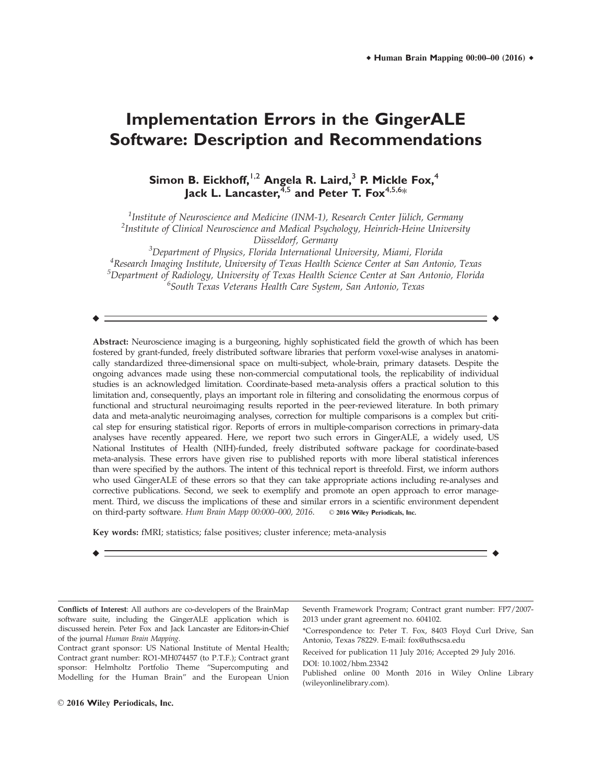# **Implementation Errors in the GingerALE Software: Description and Recommendations**

**Simon B. Eickhoff,**1,2 **Angela R. Laird,**<sup>3</sup> **P. Mickle Fox,**<sup>4</sup> **Jack L. Lancaster,**4,5 **and Peter T. Fox**4,5,6\*

<sup>1</sup>Institute of Neuroscience and Medicine (INM-1), Research Center Jülich, Germany<br><sup>2</sup>Institute of Clinical Neuroscience and Medical Psychology, Heinrich-Heine Universit <sup>2</sup>Institute of Clinical Neuroscience and Medical Psychology, Heinrich-Heine University Düsseldorf, Germany<br><sup>3</sup>Department of Physics, Florida International University, Miami, Florida <sup>4</sup>Research Imaging Institute, University of Texas Health Science Center at San Antonio, Texas  $^5$ Department of Radiology, University of Texas Health Science Center at San Antonio, Florida

6 South Texas Veterans Health Care System, San Antonio, Texas

r r

Abstract: Neuroscience imaging is a burgeoning, highly sophisticated field the growth of which has been fostered by grant-funded, freely distributed software libraries that perform voxel-wise analyses in anatomically standardized three-dimensional space on multi-subject, whole-brain, primary datasets. Despite the ongoing advances made using these non-commercial computational tools, the replicability of individual studies is an acknowledged limitation. Coordinate-based meta-analysis offers a practical solution to this limitation and, consequently, plays an important role in filtering and consolidating the enormous corpus of functional and structural neuroimaging results reported in the peer-reviewed literature. In both primary data and meta-analytic neuroimaging analyses, correction for multiple comparisons is a complex but critical step for ensuring statistical rigor. Reports of errors in multiple-comparison corrections in primary-data analyses have recently appeared. Here, we report two such errors in GingerALE, a widely used, US National Institutes of Health (NIH)-funded, freely distributed software package for coordinate-based meta-analysis. These errors have given rise to published reports with more liberal statistical inferences than were specified by the authors. The intent of this technical report is threefold. First, we inform authors who used GingerALE of these errors so that they can take appropriate actions including re-analyses and corrective publications. Second, we seek to exemplify and promote an open approach to error management. Third, we discuss the implications of these and similar errors in a scientific environment dependent on third-party software. Hum Brain Mapp 00:000-000, 2016.  $\circ$  2016 Wiley Periodicals, Inc.

r r

Key words: fMRI; statistics; false positives; cluster inference; meta-analysis

Seventh Framework Program; Contract grant number: FP7/2007- 2013 under grant agreement no. 604102.

\*Correspondence to: Peter T. Fox, 8403 Floyd Curl Drive, San Antonio, Texas 78229. E-mail: fox@uthscsa.edu

Received for publication 11 July 2016; Accepted 29 July 2016. DOI: 10.1002/hbm.23342

Published online 00 Month 2016 in Wiley Online Library (wileyonlinelibrary.com).

 $\odot$  2016 Wiley Periodicals, Inc.

Conflicts of Interest: All authors are co-developers of the BrainMap software suite, including the GingerALE application which is discussed herein. Peter Fox and Jack Lancaster are Editors-in-Chief of the journal Human Brain Mapping.

Contract grant sponsor: US National Institute of Mental Health; Contract grant number: RO1-MH074457 (to P.T.F.); Contract grant sponsor: Helmholtz Portfolio Theme "Supercomputing and Modelling for the Human Brain" and the European Union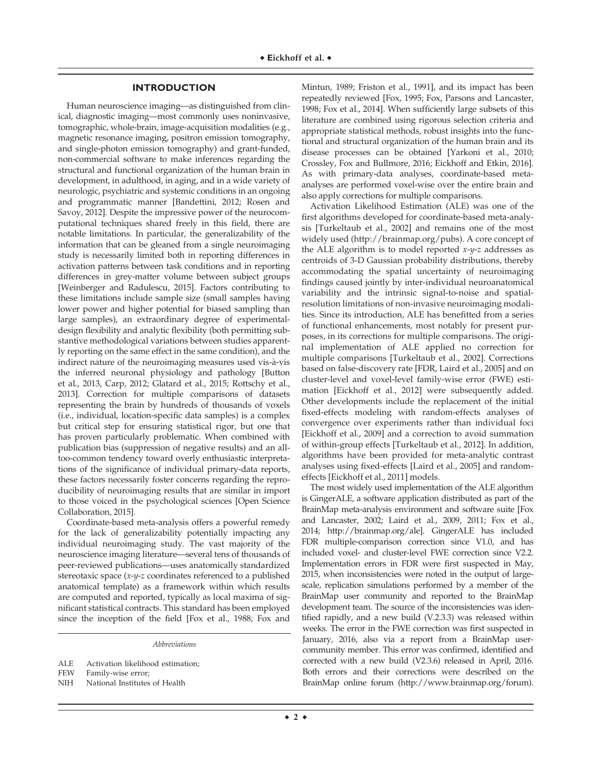#### **INTRODUCTION**

Human neuroscience imaging—as distinguished from clinical, diagnostic imaging—most commonly uses noninvasive, tomographic, whole-brain, image-acquisition modalities (e.g., magnetic resonance imaging, positron emission tomography, and single-photon emission tomography) and grant-funded, non-commercial software to make inferences regarding the structural and functional organization of the human brain in development, in adulthood, in aging, and in a wide variety of neurologic, psychiatric and systemic conditions in an ongoing and programmatic manner [Bandettini, 2012; Rosen and Savoy, 2012]. Despite the impressive power of the neurocomputational techniques shared freely in this field, there are notable limitations. In particular, the generalizability of the information that can be gleaned from a single neuroimaging study is necessarily limited both in reporting differences in activation patterns between task conditions and in reporting differences in grey-matter volume between subject groups [Weinberger and Radulescu, 2015]. Factors contributing to these limitations include sample size (small samples having lower power and higher potential for biased sampling than large samples), an extraordinary degree of experimentaldesign flexibility and analytic flexibility (both permitting substantive methodological variations between studies apparently reporting on the same effect in the same condition), and the indirect nature of the neuroimaging measures used vis-à-vis the inferred neuronal physiology and pathology [Button et al., 2013, Carp, 2012; Glatard et al., 2015; Rottschy et al., 2013]. Correction for multiple comparisons of datasets representing the brain by hundreds of thousands of voxels (i.e., individual, location-specific data samples) is a complex but critical step for ensuring statistical rigor, but one that has proven particularly problematic. When combined with publication bias (suppression of negative results) and an alltoo-common tendency toward overly enthusiastic interpretations of the significance of individual primary-data reports, these factors necessarily foster concerns regarding the reproducibility of neuroimaging results that are similar in import to those voiced in the psychological sciences [Open Science Collaboration, 2015].

Coordinate-based meta-analysis offers a powerful remedy for the lack of generalizability potentially impacting any individual neuroimaging study. The vast majority of the neuroscience imaging literature—several tens of thousands of peer-reviewed publications—uses anatomically standardized stereotaxic space  $(x-y-z)$  coordinates referenced to a published anatomical template) as a framework within which results are computed and reported, typically as local maxima of significant statistical contracts. This standard has been employed since the inception of the field [Fox et al., 1988; Fox and

Abbreviations

ALE Activation likelihood estimation;

FEW Family-wise error;

NIH National Institutes of Health

Mintun, 1989; Friston et al., 1991], and its impact has been repeatedly reviewed [Fox, 1995; Fox, Parsons and Lancaster, 1998; Fox et al., 2014]. When sufficiently large subsets of this literature are combined using rigorous selection criteria and appropriate statistical methods, robust insights into the functional and structural organization of the human brain and its disease processes can be obtained [Yarkoni et al., 2010; Crossley, Fox and Bullmore, 2016; Eickhoff and Etkin, 2016]. As with primary-data analyses, coordinate-based metaanalyses are performed voxel-wise over the entire brain and also apply corrections for multiple comparisons.

Activation Likelihood Estimation (ALE) was one of the first algorithms developed for coordinate-based meta-analysis [Turkeltaub et al., 2002] and remains one of the most widely used [\(http://brainmap.org/pubs](http://brainmap.org/pubs)). A core concept of the ALE algorithm is to model reported  $x-y-z$  addresses as centroids of 3-D Gaussian probability distributions, thereby accommodating the spatial uncertainty of neuroimaging findings caused jointly by inter-individual neuroanatomical variability and the intrinsic signal-to-noise and spatialresolution limitations of non-invasive neuroimaging modalities. Since its introduction, ALE has benefitted from a series of functional enhancements, most notably for present purposes, in its corrections for multiple comparisons. The original implementation of ALE applied no correction for multiple comparisons [Turkeltaub et al., 2002]. Corrections based on false-discovery rate [FDR, Laird et al., 2005] and on cluster-level and voxel-level family-wise error (FWE) estimation [Eickhoff et al., 2012] were subsequently added. Other developments include the replacement of the initial fixed-effects modeling with random-effects analyses of convergence over experiments rather than individual foci [Eickhoff et al., 2009] and a correction to avoid summation of within-group effects [Turkeltaub et al., 2012]. In addition, algorithms have been provided for meta-analytic contrast analyses using fixed-effects [Laird et al., 2005] and randomeffects [Eickhoff et al., 2011] models.

The most widely used implementation of the ALE algorithm is GingerALE, a software application distributed as part of the BrainMap meta-analysis environment and software suite [Fox and Lancaster, 2002; Laird et al., 2009, 2011; Fox et al., 2014; http://brainmap.org/ale]. GingerALE has included FDR multiple-comparison correction since V1.0, and has included voxel- and cluster-level FWE correction since V2.2. Implementation errors in FDR were first suspected in May, 2015, when inconsistencies were noted in the output of largescale, replication simulations performed by a member of the BrainMap user community and reported to the BrainMap development team. The source of the inconsistencies was identified rapidly, and a new build (V.2.3.3) was released within weeks. The error in the FWE correction was first suspected in January, 2016, also via a report from a BrainMap usercommunity member. This error was confirmed, identified and corrected with a new build (V2.3.6) released in April, 2016. Both errors and their corrections were described on the BrainMap online forum [\(http://www.brainmap.org/forum\)](http://www.brainmap.org/forum).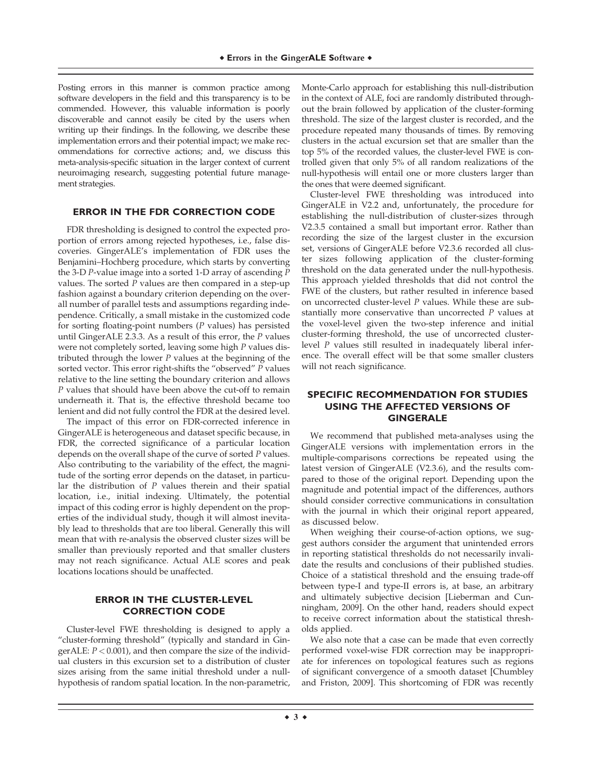Posting errors in this manner is common practice among software developers in the field and this transparency is to be commended. However, this valuable information is poorly discoverable and cannot easily be cited by the users when writing up their findings. In the following, we describe these implementation errors and their potential impact; we make recommendations for corrective actions; and, we discuss this meta-analysis-specific situation in the larger context of current neuroimaging research, suggesting potential future management strategies.

#### **ERROR IN THE FDR CORRECTION CODE**

FDR thresholding is designed to control the expected proportion of errors among rejected hypotheses, i.e., false discoveries. GingerALE's implementation of FDR uses the Benjamini–Hochberg procedure, which starts by converting the 3-D P-value image into a sorted 1-D array of ascending P values. The sorted  $P$  values are then compared in a step-up fashion against a boundary criterion depending on the overall number of parallel tests and assumptions regarding independence. Critically, a small mistake in the customized code for sorting floating-point numbers (P values) has persisted until GingerALE 2.3.3. As a result of this error, the P values were not completely sorted, leaving some high P values distributed through the lower  $P$  values at the beginning of the sorted vector. This error right-shifts the "observed" P values relative to the line setting the boundary criterion and allows P values that should have been above the cut-off to remain underneath it. That is, the effective threshold became too lenient and did not fully control the FDR at the desired level.

The impact of this error on FDR-corrected inference in GingerALE is heterogeneous and dataset specific because, in FDR, the corrected significance of a particular location depends on the overall shape of the curve of sorted P values. Also contributing to the variability of the effect, the magnitude of the sorting error depends on the dataset, in particular the distribution of  $P$  values therein and their spatial location, i.e., initial indexing. Ultimately, the potential impact of this coding error is highly dependent on the properties of the individual study, though it will almost inevitably lead to thresholds that are too liberal. Generally this will mean that with re-analysis the observed cluster sizes will be smaller than previously reported and that smaller clusters may not reach significance. Actual ALE scores and peak locations locations should be unaffected.

## **ERROR IN THE CLUSTER-LEVEL CORRECTION CODE**

Cluster-level FWE thresholding is designed to apply a "cluster-forming threshold" (typically and standard in GingerALE:  $P < 0.001$ ), and then compare the size of the individual clusters in this excursion set to a distribution of cluster sizes arising from the same initial threshold under a nullhypothesis of random spatial location. In the non-parametric,

Monte-Carlo approach for establishing this null-distribution in the context of ALE, foci are randomly distributed throughout the brain followed by application of the cluster-forming threshold. The size of the largest cluster is recorded, and the procedure repeated many thousands of times. By removing clusters in the actual excursion set that are smaller than the top 5% of the recorded values, the cluster-level FWE is controlled given that only 5% of all random realizations of the null-hypothesis will entail one or more clusters larger than the ones that were deemed significant.

Cluster-level FWE thresholding was introduced into GingerALE in V2.2 and, unfortunately, the procedure for establishing the null-distribution of cluster-sizes through V2.3.5 contained a small but important error. Rather than recording the size of the largest cluster in the excursion set, versions of GingerALE before V2.3.6 recorded all cluster sizes following application of the cluster-forming threshold on the data generated under the null-hypothesis. This approach yielded thresholds that did not control the FWE of the clusters, but rather resulted in inference based on uncorrected cluster-level P values. While these are substantially more conservative than uncorrected P values at the voxel-level given the two-step inference and initial cluster-forming threshold, the use of uncorrected clusterlevel P values still resulted in inadequately liberal inference. The overall effect will be that some smaller clusters will not reach significance.

## **SPECIFIC RECOMMENDATION FOR STUDIES USING THE AFFECTED VERSIONS OF GINGERALE**

We recommend that published meta-analyses using the GingerALE versions with implementation errors in the multiple-comparisons corrections be repeated using the latest version of GingerALE (V2.3.6), and the results compared to those of the original report. Depending upon the magnitude and potential impact of the differences, authors should consider corrective communications in consultation with the journal in which their original report appeared, as discussed below.

When weighing their course-of-action options, we suggest authors consider the argument that unintended errors in reporting statistical thresholds do not necessarily invalidate the results and conclusions of their published studies. Choice of a statistical threshold and the ensuing trade-off between type-I and type-II errors is, at base, an arbitrary and ultimately subjective decision [Lieberman and Cunningham, 2009]. On the other hand, readers should expect to receive correct information about the statistical thresholds applied.

We also note that a case can be made that even correctly performed voxel-wise FDR correction may be inappropriate for inferences on topological features such as regions of significant convergence of a smooth dataset [Chumbley and Friston, 2009]. This shortcoming of FDR was recently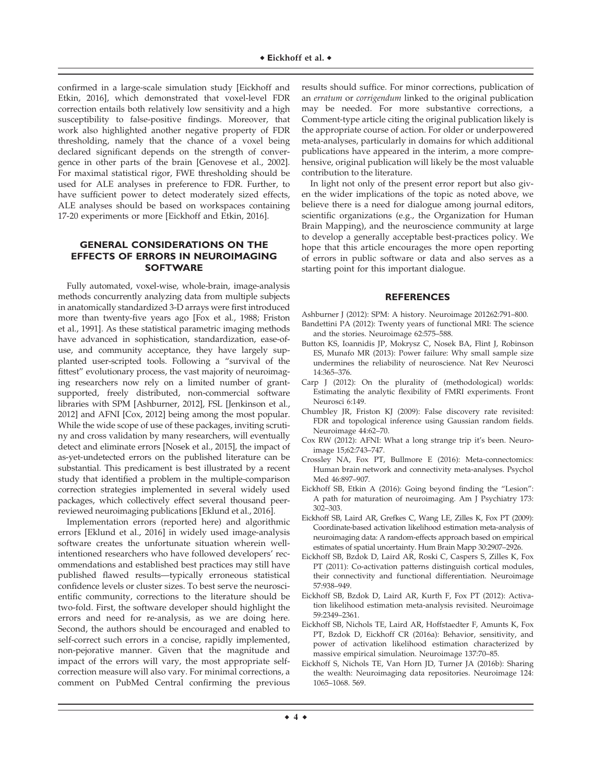confirmed in a large-scale simulation study [Eickhoff and Etkin, 2016], which demonstrated that voxel-level FDR correction entails both relatively low sensitivity and a high susceptibility to false-positive findings. Moreover, that work also highlighted another negative property of FDR thresholding, namely that the chance of a voxel being declared significant depends on the strength of convergence in other parts of the brain [Genovese et al., 2002]. For maximal statistical rigor, FWE thresholding should be used for ALE analyses in preference to FDR. Further, to have sufficient power to detect moderately sized effects, ALE analyses should be based on workspaces containing 17-20 experiments or more [Eickhoff and Etkin, 2016].

## **GENERAL CONSIDERATIONS ON THE EFFECTS OF ERRORS IN NEUROIMAGING SOFTWARE**

Fully automated, voxel-wise, whole-brain, image-analysis methods concurrently analyzing data from multiple subjects in anatomically standardized 3-D arrays were first introduced more than twenty-five years ago [Fox et al., 1988; Friston et al., 1991]. As these statistical parametric imaging methods have advanced in sophistication, standardization, ease-ofuse, and community acceptance, they have largely supplanted user-scripted tools. Following a "survival of the fittest" evolutionary process, the vast majority of neuroimaging researchers now rely on a limited number of grantsupported, freely distributed, non-commercial software libraries with SPM [Ashburner, 2012], FSL [Jenkinson et al., 2012] and AFNI [Cox, 2012] being among the most popular. While the wide scope of use of these packages, inviting scrutiny and cross validation by many researchers, will eventually detect and eliminate errors [Nosek et al., 2015], the impact of as-yet-undetected errors on the published literature can be substantial. This predicament is best illustrated by a recent study that identified a problem in the multiple-comparison correction strategies implemented in several widely used packages, which collectively effect several thousand peerreviewed neuroimaging publications [Eklund et al., 2016].

Implementation errors (reported here) and algorithmic errors [Eklund et al., 2016] in widely used image-analysis software creates the unfortunate situation wherein wellintentioned researchers who have followed developers' recommendations and established best practices may still have published flawed results—typically erroneous statistical confidence levels or cluster sizes. To best serve the neuroscientific community, corrections to the literature should be two-fold. First, the software developer should highlight the errors and need for re-analysis, as we are doing here. Second, the authors should be encouraged and enabled to self-correct such errors in a concise, rapidly implemented, non-pejorative manner. Given that the magnitude and impact of the errors will vary, the most appropriate selfcorrection measure will also vary. For minimal corrections, a comment on PubMed Central confirming the previous

results should suffice. For minor corrections, publication of an erratum or corrigendum linked to the original publication may be needed. For more substantive corrections, a Comment-type article citing the original publication likely is the appropriate course of action. For older or underpowered meta-analyses, particularly in domains for which additional publications have appeared in the interim, a more comprehensive, original publication will likely be the most valuable contribution to the literature.

In light not only of the present error report but also given the wider implications of the topic as noted above, we believe there is a need for dialogue among journal editors, scientific organizations (e.g., the Organization for Human Brain Mapping), and the neuroscience community at large to develop a generally acceptable best-practices policy. We hope that this article encourages the more open reporting of errors in public software or data and also serves as a starting point for this important dialogue.

### **REFERENCES**

Ashburner J (2012): SPM: A history. Neuroimage 201262:791–800.

- Bandettini PA (2012): Twenty years of functional MRI: The science and the stories. Neuroimage 62:575–588.
- Button KS, Ioannidis JP, Mokrysz C, Nosek BA, Flint J, Robinson ES, Munafo MR (2013): Power failure: Why small sample size undermines the reliability of neuroscience. Nat Rev Neurosci 14:365–376.
- Carp J (2012): On the plurality of (methodological) worlds: Estimating the analytic flexibility of FMRI experiments. Front Neurosci 6:149.
- Chumbley JR, Friston KJ (2009): False discovery rate revisited: FDR and topological inference using Gaussian random fields. Neuroimage 44:62–70.
- Cox RW (2012): AFNI: What a long strange trip it's been. Neuroimage 15;62:743–747.
- Crossley NA, Fox PT, Bullmore E (2016): Meta-connectomics: Human brain network and connectivity meta-analyses. Psychol Med 46:897–907.
- Eickhoff SB, Etkin A (2016): Going beyond finding the "Lesion": A path for maturation of neuroimaging. Am J Psychiatry 173: 302–303.
- Eickhoff SB, Laird AR, Grefkes C, Wang LE, Zilles K, Fox PT (2009): Coordinate-based activation likelihood estimation meta-analysis of neuroimaging data: A random-effects approach based on empirical estimates of spatial uncertainty. Hum Brain Mapp 30:2907–2926.
- Eickhoff SB, Bzdok D, Laird AR, Roski C, Caspers S, Zilles K, Fox PT (2011): Co-activation patterns distinguish cortical modules, their connectivity and functional differentiation. Neuroimage 57:938–949.
- Eickhoff SB, Bzdok D, Laird AR, Kurth F, Fox PT (2012): Activation likelihood estimation meta-analysis revisited. Neuroimage 59:2349–2361.
- Eickhoff SB, Nichols TE, Laird AR, Hoffstaedter F, Amunts K, Fox PT, Bzdok D, Eickhoff CR (2016a): Behavior, sensitivity, and power of activation likelihood estimation characterized by massive empirical simulation. Neuroimage 137:70–85.
- Eickhoff S, Nichols TE, Van Horn JD, Turner JA (2016b): Sharing the wealth: Neuroimaging data repositories. Neuroimage 124: 1065–1068. 569.